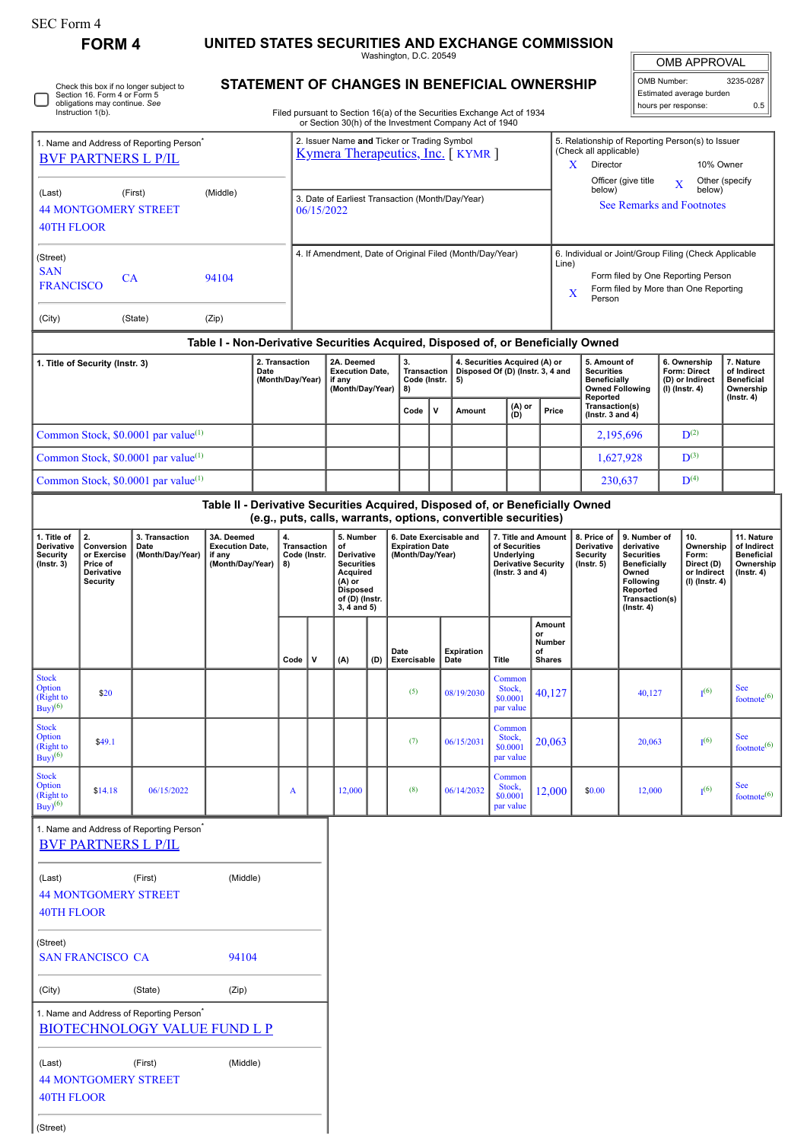(Street)

**FORM 4 UNITED STATES SECURITIES AND EXCHANGE COMMISSION** Washington, D.C. 20549

 $\mathbb{I}$ OMB APPROVAL

5. Relationship of Reporting Person(s) to Issuer (Check all applicable)

| OMB Number:              | 3235-0287 |
|--------------------------|-----------|
| Estimated average burden |           |
| hours per response:      | 0.5       |

Check this box if no longer subject to Section 16. Form 4 or Form 5 obligations may continue. *See* Instruction 1(b). □

1. Name and Address of Reporting Person<sup>\*</sup>

## **STATEMENT OF CHANGES IN BENEFICIAL OWNERSHIP**

Filed pursuant to Section 16(a) of the Securities Exchange Act of 1934 or Section 30(h) of the Investment Company Act of 1940

2. Issuer Name **and** Ticker or Trading Symbol

|                                                                  | <b>BVF PARTNERS L P/IL</b>                                            |                                                                                             |                                                                                                               |      |                                    |                                                                                                                              |                                                                       |     | Kymera Therapeutics, Inc. [KYMR]                               |                                                                                                           |                                                                         |              |                                                                                                                                                                                                                           |                                               | (Check all applicable)<br>X<br>Director                                                                                                                                            |                     |                                                                                 | 10% Owner                                                                   |                                                                                |
|------------------------------------------------------------------|-----------------------------------------------------------------------|---------------------------------------------------------------------------------------------|---------------------------------------------------------------------------------------------------------------|------|------------------------------------|------------------------------------------------------------------------------------------------------------------------------|-----------------------------------------------------------------------|-----|----------------------------------------------------------------|-----------------------------------------------------------------------------------------------------------|-------------------------------------------------------------------------|--------------|---------------------------------------------------------------------------------------------------------------------------------------------------------------------------------------------------------------------------|-----------------------------------------------|------------------------------------------------------------------------------------------------------------------------------------------------------------------------------------|---------------------|---------------------------------------------------------------------------------|-----------------------------------------------------------------------------|--------------------------------------------------------------------------------|
| (Last)<br><b>40TH FLOOR</b>                                      | <b>44 MONTGOMERY STREET</b>                                           | (First)                                                                                     | (Middle)                                                                                                      |      |                                    | 06/15/2022                                                                                                                   |                                                                       |     | 3. Date of Earliest Transaction (Month/Day/Year)               |                                                                                                           |                                                                         |              |                                                                                                                                                                                                                           |                                               | below)                                                                                                                                                                             | Officer (give title | $\mathbf X$                                                                     | Other (specify<br>below)<br><b>See Remarks and Footnotes</b>                |                                                                                |
| (Street)<br><b>SAN</b>                                           |                                                                       |                                                                                             |                                                                                                               |      |                                    |                                                                                                                              |                                                                       |     | 4. If Amendment, Date of Original Filed (Month/Day/Year)       |                                                                                                           |                                                                         |              |                                                                                                                                                                                                                           | Line)                                         | 6. Individual or Joint/Group Filing (Check Applicable                                                                                                                              |                     |                                                                                 |                                                                             |                                                                                |
| <b>FRANCISCO</b>                                                 | <b>CA</b>                                                             |                                                                                             | 94104                                                                                                         |      |                                    |                                                                                                                              |                                                                       |     |                                                                |                                                                                                           |                                                                         |              |                                                                                                                                                                                                                           |                                               | X<br>Person                                                                                                                                                                        |                     |                                                                                 | Form filed by One Reporting Person<br>Form filed by More than One Reporting |                                                                                |
| (City)                                                           |                                                                       | (State)                                                                                     | (Zip)                                                                                                         |      |                                    |                                                                                                                              |                                                                       |     |                                                                |                                                                                                           |                                                                         |              |                                                                                                                                                                                                                           |                                               |                                                                                                                                                                                    |                     |                                                                                 |                                                                             |                                                                                |
|                                                                  | 1. Title of Security (Instr. 3)                                       |                                                                                             |                                                                                                               | Date | 2. Transaction<br>(Month/Day/Year) |                                                                                                                              | 2A. Deemed<br><b>Execution Date,</b><br>if any<br>(Month/Day/Year)    |     | 3.<br>Transaction<br>Code (Instr.<br>8)                        |                                                                                                           | 4. Securities Acquired (A) or<br>Disposed Of (D) (Instr. 3, 4 and<br>5) |              |                                                                                                                                                                                                                           |                                               | Table I - Non-Derivative Securities Acquired, Disposed of, or Beneficially Owned<br>5. Amount of<br><b>Securities</b><br><b>Beneficially</b><br><b>Owned Following</b><br>Reported |                     |                                                                                 | 6. Ownership<br>Form: Direct<br>(D) or Indirect<br>(I) (Instr. 4)           | 7. Nature<br>of Indirect<br><b>Beneficial</b><br>Ownership<br>$($ Instr. 4 $)$ |
|                                                                  |                                                                       |                                                                                             |                                                                                                               |      |                                    |                                                                                                                              |                                                                       |     | Code                                                           | $\mathbf{v}$                                                                                              | <b>Amount</b>                                                           |              | (A) or<br>(D)                                                                                                                                                                                                             | Price                                         | Transaction(s)<br>(Instr. $3$ and $4$ )                                                                                                                                            |                     |                                                                                 |                                                                             |                                                                                |
|                                                                  |                                                                       | Common Stock, \$0.0001 par value <sup>(1)</sup>                                             |                                                                                                               |      |                                    |                                                                                                                              |                                                                       |     |                                                                |                                                                                                           |                                                                         |              |                                                                                                                                                                                                                           |                                               |                                                                                                                                                                                    | 2,195,696           |                                                                                 | $\mathbf{D}^{(2)}$                                                          |                                                                                |
|                                                                  |                                                                       | Common Stock, \$0.0001 par value <sup>(1)</sup>                                             |                                                                                                               |      |                                    |                                                                                                                              |                                                                       |     |                                                                |                                                                                                           |                                                                         |              |                                                                                                                                                                                                                           |                                               |                                                                                                                                                                                    | 1,627,928           |                                                                                 | $D^{(3)}$                                                                   |                                                                                |
|                                                                  |                                                                       | Common Stock, \$0.0001 par value <sup>(1)</sup>                                             | Table II - Derivative Securities Acquired, Disposed of, or Beneficially Owned                                 |      |                                    |                                                                                                                              |                                                                       |     |                                                                |                                                                                                           |                                                                         |              |                                                                                                                                                                                                                           |                                               |                                                                                                                                                                                    | 230,637             |                                                                                 | $D^{(4)}$                                                                   |                                                                                |
|                                                                  |                                                                       |                                                                                             |                                                                                                               |      |                                    |                                                                                                                              |                                                                       |     | (e.g., puts, calls, warrants, options, convertible securities) |                                                                                                           |                                                                         |              |                                                                                                                                                                                                                           |                                               |                                                                                                                                                                                    |                     |                                                                                 |                                                                             |                                                                                |
| 1. Title of<br>Derivative<br><b>Security</b><br>$($ Instr. 3 $)$ | 2.<br>Conversion<br>or Exercise<br>Price of<br>Derivative<br>Security | 3. Transaction<br>Date<br>(Month/Day/Year)                                                  | 3A. Deemed<br>4.<br><b>Execution Date,</b><br>Transaction<br>if any<br>Code (Instr.<br>(Month/Day/Year)<br>8) |      |                                    | 5. Number<br>of<br>Derivative<br><b>Securities</b><br>Acquired<br>(A) or<br><b>Disposed</b><br>of (D) (Instr.<br>3, 4 and 5) | 6. Date Exercisable and<br><b>Expiration Date</b><br>(Month/Day/Year) |     |                                                                | 7. Title and Amount<br>of Securities<br>Underlying<br><b>Derivative Security</b><br>(lnstr. $3$ and $4$ ) |                                                                         |              | 8. Price of<br>9. Number of<br>Derivative<br>derivative<br><b>Security</b><br><b>Securities</b><br>$($ lnstr. 5 $)$<br><b>Beneficially</b><br>Owned<br><b>Following</b><br>Reported<br>Transaction(s)<br>$($ Instr. 4 $)$ |                                               | 10.<br>Ownership<br>Form:<br>Direct (D)<br>or Indirect<br>(I) (Instr. 4)                                                                                                           |                     | 11. Nature<br>of Indirect<br><b>Beneficial</b><br>Ownership<br>$($ Instr. 4 $)$ |                                                                             |                                                                                |
|                                                                  |                                                                       |                                                                                             |                                                                                                               |      | Code                               | v                                                                                                                            | (A)                                                                   | (D) | Date<br>Exercisable                                            |                                                                                                           | <b>Expiration</b><br>Date                                               | <b>Title</b> |                                                                                                                                                                                                                           | Amount<br>or<br>Number<br>οf<br><b>Shares</b> |                                                                                                                                                                                    |                     |                                                                                 |                                                                             |                                                                                |
| <b>Stock</b><br>Option<br>(Right to<br>$Buy)$ <sup>(6)</sup>     | \$20                                                                  |                                                                                             |                                                                                                               |      |                                    |                                                                                                                              |                                                                       |     | (5)                                                            |                                                                                                           | 08/19/2030                                                              | Stock,       | Common<br>\$0.0001<br>par value                                                                                                                                                                                           | 40,127                                        |                                                                                                                                                                                    | 40,127              |                                                                                 | I <sup>(6)</sup>                                                            | See<br>footnote <sup>(6)</sup>                                                 |
| <b>Stock</b><br>Option<br>(Right to<br>$\text{Buy}^{(6)}$        | \$49.1                                                                |                                                                                             |                                                                                                               |      |                                    |                                                                                                                              |                                                                       |     | (7)                                                            |                                                                                                           | 06/15/2031                                                              | Stock,       | Common<br>\$0.0001<br>par value                                                                                                                                                                                           | 20,063                                        |                                                                                                                                                                                    | 20,063              |                                                                                 | I <sup>(6)</sup>                                                            | <b>See</b><br>footnote <sup>(6)</sup>                                          |
| <b>Stock</b><br>Option<br>(Right to<br>$Buy$ <sup>(6)</sup>      | \$14.18                                                               | 06/15/2022                                                                                  |                                                                                                               |      | A                                  |                                                                                                                              | 12,000                                                                |     | (8)                                                            |                                                                                                           | 06/14/2032                                                              |              | Common<br>Stock,<br>\$0.0001<br>par value                                                                                                                                                                                 | 12,000                                        | \$0.00                                                                                                                                                                             | 12,000              |                                                                                 | I <sup>(6)</sup>                                                            | <b>See</b><br>footnote <sup>(6)</sup>                                          |
|                                                                  | <b>BVF PARTNERS L P/IL</b>                                            | 1. Name and Address of Reporting Person <sup>*</sup>                                        |                                                                                                               |      |                                    |                                                                                                                              |                                                                       |     |                                                                |                                                                                                           |                                                                         |              |                                                                                                                                                                                                                           |                                               |                                                                                                                                                                                    |                     |                                                                                 |                                                                             |                                                                                |
| (Last)<br><b>40TH FLOOR</b>                                      | <b>44 MONTGOMERY STREET</b>                                           | (First)                                                                                     | (Middle)                                                                                                      |      |                                    |                                                                                                                              |                                                                       |     |                                                                |                                                                                                           |                                                                         |              |                                                                                                                                                                                                                           |                                               |                                                                                                                                                                                    |                     |                                                                                 |                                                                             |                                                                                |
| (Street)                                                         | <b>SAN FRANCISCO CA</b>                                               |                                                                                             | 94104                                                                                                         |      |                                    |                                                                                                                              |                                                                       |     |                                                                |                                                                                                           |                                                                         |              |                                                                                                                                                                                                                           |                                               |                                                                                                                                                                                    |                     |                                                                                 |                                                                             |                                                                                |
| (City)                                                           |                                                                       | (State)                                                                                     | (Zip)                                                                                                         |      |                                    |                                                                                                                              |                                                                       |     |                                                                |                                                                                                           |                                                                         |              |                                                                                                                                                                                                                           |                                               |                                                                                                                                                                                    |                     |                                                                                 |                                                                             |                                                                                |
|                                                                  |                                                                       | 1. Name and Address of Reporting Person <sup>*</sup><br><b>BIOTECHNOLOGY VALUE FUND L P</b> |                                                                                                               |      |                                    |                                                                                                                              |                                                                       |     |                                                                |                                                                                                           |                                                                         |              |                                                                                                                                                                                                                           |                                               |                                                                                                                                                                                    |                     |                                                                                 |                                                                             |                                                                                |
| (Last)<br><b>40TH FLOOR</b>                                      | <b>44 MONTGOMERY STREET</b>                                           | (First)                                                                                     | (Middle)                                                                                                      |      |                                    |                                                                                                                              |                                                                       |     |                                                                |                                                                                                           |                                                                         |              |                                                                                                                                                                                                                           |                                               |                                                                                                                                                                                    |                     |                                                                                 |                                                                             |                                                                                |
|                                                                  |                                                                       |                                                                                             |                                                                                                               |      |                                    |                                                                                                                              |                                                                       |     |                                                                |                                                                                                           |                                                                         |              |                                                                                                                                                                                                                           |                                               |                                                                                                                                                                                    |                     |                                                                                 |                                                                             |                                                                                |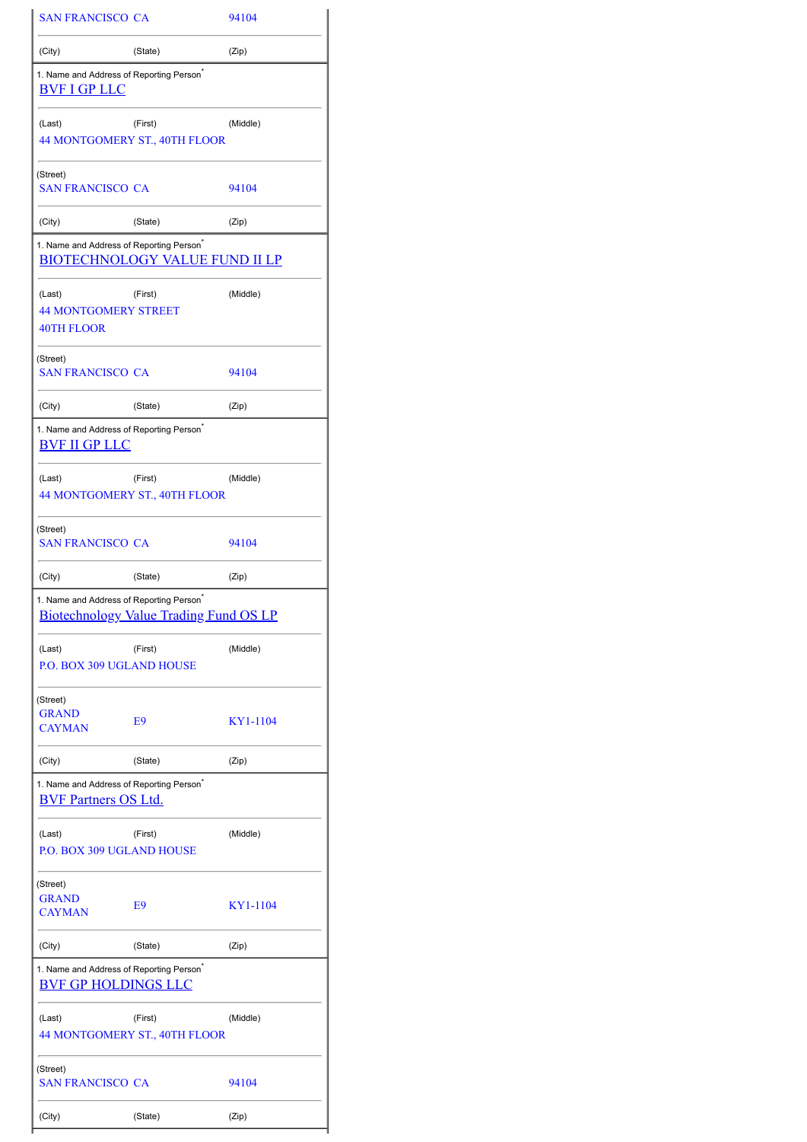| <b>SAN FRANCISCO CA</b>                                                             |                                               | 94104    |
|-------------------------------------------------------------------------------------|-----------------------------------------------|----------|
| (City)                                                                              | (State)                                       | (Zip)    |
| 1. Name and Address of Reporting Person <sup>®</sup><br><b>BVF I GP LLC</b>         |                                               |          |
| (Last)                                                                              | (First)<br>44 MONTGOMERY ST., 40TH FLOOR      | (Middle) |
| (Street)<br><b>SAN FRANCISCO CA</b>                                                 |                                               | 94104    |
| (City)                                                                              | (State)                                       | (Zip)    |
| 1. Name and Address of Reporting Person <sup>*</sup>                                | <b>BIOTECHNOLOGY VALUE FUND II LP</b>         |          |
| (Last)<br><b>44 MONTGOMERY STREET</b><br>40TH FLOOR                                 | (First)                                       | (Middle) |
| (Street)<br><b>SAN FRANCISCO CA</b>                                                 |                                               | 94104    |
| (City)                                                                              | (State)                                       | (Zip)    |
| 1. Name and Address of Reporting Person <sup>®</sup><br><u>BVF II GP LLC</u>        |                                               |          |
| (Last)                                                                              | (First)<br>44 MONTGOMERY ST., 40TH FLOOR      | (Middle) |
| (Street)<br><b>SAN FRANCISCO CA</b>                                                 |                                               | 94104    |
|                                                                                     |                                               |          |
| (City)                                                                              | (State)                                       | (Zip)    |
| 1. Name and Address of Reporting Person <sup>®</sup>                                | <b>Biotechnology Value Trading Fund OS LP</b> |          |
| (Last)<br><b>P.O. BOX 309 UGLAND HOUSE</b>                                          | (First)                                       | (Middle) |
| (Street)<br><b>GRAND</b><br><b>CAYMAN</b>                                           | E9                                            | KY1-1104 |
| (City)                                                                              | (State)                                       | (Zip)    |
| 1. Name and Address of Reporting Person <sup>*</sup><br><b>BVF Partners OS Ltd.</b> |                                               |          |
| (Last)<br>P.O. BOX 309 UGLAND HOUSE                                                 | (First)                                       | (Middle) |
| (Street)<br><b>GRAND</b><br><b>CAYMAN</b>                                           | E9                                            | KY1-1104 |
| (City)                                                                              | (State)                                       | (Zip)    |
| 1. Name and Address of Reporting Person <sup>®</sup><br><b>BVF GP HOLDINGS LLC</b>  |                                               |          |
| (Last)                                                                              | (First)<br>44 MONTGOMERY ST., 40TH FLOOR      | (Middle) |
| (Street)<br><b>SAN FRANCISCO CA</b>                                                 |                                               | 94104    |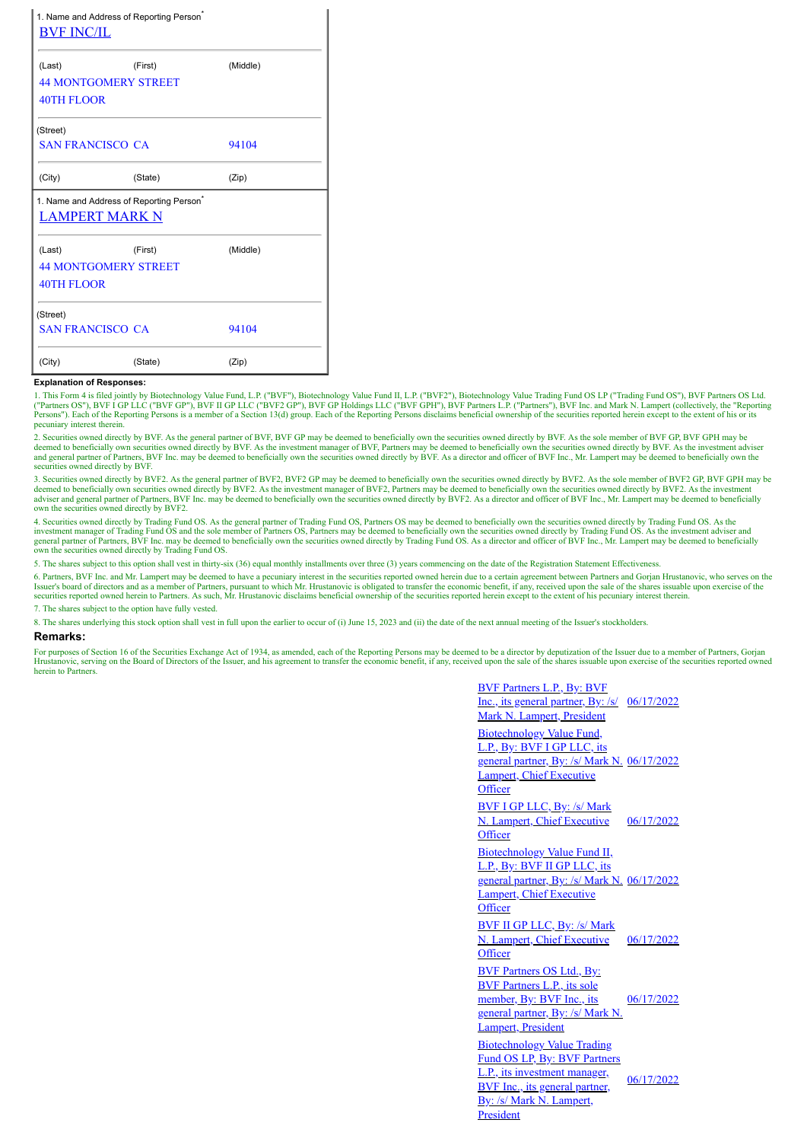| 1. Name and Address of Reporting Person <sup>®</sup><br><b>BVF INC/IL</b> |         |          |
|---------------------------------------------------------------------------|---------|----------|
| (Last)                                                                    | (First) | (Middle) |
| <b>44 MONTGOMERY STREET</b>                                               |         |          |
| 40TH FLOOR                                                                |         |          |
| (Street)                                                                  |         |          |
| <b>SAN FRANCISCO CA</b>                                                   |         | 94104    |
| (City)                                                                    | (State) | (Zip)    |
| 1. Name and Address of Reporting Person <sup>®</sup>                      |         |          |
| <b>LAMPERT MARK N</b>                                                     |         |          |
| (Last)                                                                    | (First) | (Middle) |
| <b>44 MONTGOMERY STREET</b>                                               |         |          |
| <b>40TH FLOOR</b>                                                         |         |          |
|                                                                           |         |          |
| (Street)<br><b>SAN FRANCISCO CA</b>                                       |         | 94104    |

## **Explanation of Responses:**

1. This Form 4 is filed jointly by Biotechnology Value Fund, L.P. ("BVF"), Biotechnology Value Fund II, L.P. ("BVF2"), Biotechnology Value Trading Fund OS LP ("Trading Fund OS"), BVF Partners OS Ltd. ("Partners OS"), BVF I GP LLC ("BVF GP"), BVF II GP LLC ("BVF2 GP"), BVF GP Holdings LLC ("BVF GPH"), BVF Partners L.P. ("Partners"), BVF Inc. and Mark N. Lampert (collectively, the "Reporting<br>Persons"). Each of the Report pecuniary interest therein.

2. Securities owned directly by BVF. As the general partner of BVF, BVF GP may be deemed to beneficially own the securities owned directly by BVF. As the sole member of BVF GP, BVF GPH may be deemed to beneficially own securities owned directly by BVF. As the investment manager of BVF, Partners may be deemed to beneficially own the securities owned directly by BVF. As the investment adviser<br>and general partner securities owned directly by BVF.

3. Securities owned directly by BVF2. As the general partner of BVF2, BVF2 GP may be deemed to beneficially own the securities owned directly by BVF2. As the sole member of BVF2 GP, BVF GPH may be<br>deemed to beneficially ow own the securities owned directly by BVF2.

4. Securities owned directly by Trading Fund OS. As the general partner of Trading Fund OS, Partners OS may be deemed to beneficially own the securities owned directly by Trading Fund OS. As the<br>investment manager of Tradi general partner of Partners, BVF Inc. may be deemed to beneficially own the securities owned directly by Trading Fund OS. As a director and officer of BVF Inc., Mr. Lampert may be deemed to beneficially own the securities owned directly by Trading Fund OS.

5. The shares subject to this option shall vest in thirty-six (36) equal monthly installments over three (3) years commencing on the date of the Registration Statement Effectivenes

6. Partners, BVF Inc. and Mr. Lampert may be deemed to have a pecuniary interest in the securities reported owned herein due to a certain agreement between Partners and Gorjan Hrustanovic, who serves on the Issuer's board of directors and as a member of Partners, pursuant to which Mr. Hrustanovic is obligated to transfer the economic benefit, if any, received upon the sale of the shares issuable upon exercise of the securitie

7. The shares subject to the option have fully vested.

8. The shares underlying this stock option shall vest in full upon the earlier to occur of (i) June 15, 2023 and (ii) the date of the next annual meeting of the Issuer's stockholders.

## **Remarks:**

For purposes of Section 16 of the Securities Exchange Act of 1934, as amended, each of the Reporting Persons may be deemed to be a director by deputization of the Issuer due to a member of Partners, Gorjan Hrustanovic, serving on the Board of Directors of the Issuer, and his agreement to transfer the economic benefit, if any, received upon the sale of the shares issuable upon exercise of the securities reported owned herein to Partners.

> BVF Partners L.P., By: BVF Inc., its general partner, By: /s/ 06/17/2022 Mark N. Lampert, President Biotechnology Value Fund, L.P., By: BVF I GP LLC, its general partner, By: /s/ Mark N. 06/17/2022 Lampert, Chief Executive **Officer** BVF I GP LLC, By: /s/ Mark N. Lampert, Chief Executive **Officer** 06/17/2022 Biotechnology Value Fund II, L.P., By: BVF II GP LLC, its general partner, By: /s/ Mark N. 06/17/2022 Lampert, Chief Executive **Officer** BVF II GP LLC, By: /s/ Mark N. Lampert, Chief Executive **Officer** 06/17/2022 BVF Partners OS Ltd., By: BVF Partners L.P., its sole member, By: BVF Inc., its general partner, By: /s/ Mark N. Lampert, President 06/17/2022 Biotechnology Value Trading Fund OS LP, By: BVF Partners L.P., its investment manager, BVF Inc., its general partner, By: /s/ Mark N. Lampert, President 06/17/2022